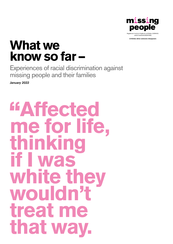

A lifeline when someone disappears

# What we know so far –

Experiences of racial discrimination against missing people and their families

*January 2022*

# Affected me for life, thinking if I was white they wouldn't treat me that way.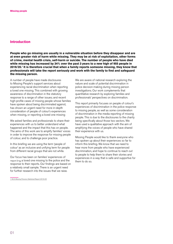# Introduction

People who go missing are usually in a vulnerable situation before they disappear and are at even greater risk of harm while missing. They may be at risk of exploitation, other forms of crime, mental health crisis, self-harm or suicide. The number of people who have died while missing has increased by 34% over the past 3 years to a new high of 955 people in 2019/20.1 It is therefore crucial that when a family reports someone missing, they know that professionals will take the report seriously and work with the family to find and safeguard the missing person.

A number of people have made disclosures to Missing People's support services about experiencing racial discrimination when reporting a loved one missing. This combined with growing awareness of discrimination in the statutory response to a range of other issues; and recent high-profile cases of missing people whose families have spoken about being discriminated against, has shown an urgent need for more in-depth consideration of people of colour's experiences when missing, or reporting a loved one missing

We asked families and professionals to share their experiences with us to better understand what happened and the impact that this has on people. The aims of this work are to amplify families' voices in order to improve the response for missing people of colour, and to challenge poor practice.

In this briefing we are using the term 'people of colour' as an inclusive and unifying term for people from different racial groups that are not white.

Our focus has been on families' experiences of reporting a loved one missing to the police and the response to their reports. Our findings are based on a relatively small sample. There is an urgent need for further research into the issues that we raise.

[1 NCA Missing Persons Statistical Report 2019-20](https://www.missingpersons.police.uk/en-gb/resources/downloads/missing-persons-statistical-bulletins)

We are aware of national research exploring the nature and scale of potential discrimination in police decision-making during missing person investigations. Our work complements that quantitative research by exploring families and professionals' perspectives on discrimination.

This report primarily focuses on people of colour's experiences of discrimination in the police response to missing people, as well as some consideration of discrimination in the media reporting of missing people. This is due to the disclosures to the charity being specifically about those two sectors. We have used a qualitative approach with the aim of amplifying the voices of people who have shared their experience with us.

Missing People would like to thank everyone who has spoken up about their experiences so far to inform this briefing. We know that we need to hear more from people who have experienced discrimination, and hope to continue to reach out to people to help them to share their stories and experiences in a way that is safe and supportive for them to do so.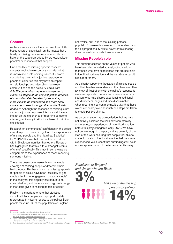# **Context**

As far as we are aware there is currently no UKbased research specifically on the impact that a family or missing person's race or ethnicity can have on the support provided by professionals, or people's experience of that support.

Given the lack of missing-specific research currently available we can only consider what is known about intersecting issues. It is worth considering the criminal justice response to people of colour as this may have an impact on relationships and interactions between communities and the police: *"People from BAME communities are over-represented at almost all stages of the criminal justice process, disproportionately targeted by the police, more likely to be imprisoned and more likely to be imprisoned for longer than white British people".2* Although the response to missing is not a criminal justice response, this may well have an impact on the experience of reporting someone missing, particularly in situations linked to criminal exploitation.

Research on communities' confidence in the police may also provide some insight into the experiences of missing people and their families. Statistics<sup>3</sup> for 2019/20 show that this confidence is lower within Black communities than others. Research has highlighted that this is true amongst victims of crime4 specifically. This may in some ways be comparable to the experiences of those reporting someone missing.

There has been some research into the media coverage of missing people of different ethnic backgrounds. This has shown that missing appeals for people of colour have been less likely to get media attention or engagement on social media<sup>5</sup>. In the past year this disparity has begun to be acknowledged, and there are early signs of change in the focus given to missing people of colour.

Finally, it is important to note that statistics show that Black people are disproportionately represented in missing reports to the police: Black people make up 3% of the population of England

- [https://www.ethnicity-facts-figures.service.gov.uk/crime-justice-and-the-law/](https://www.ethnicity-facts-figures.service.gov.uk/crime-justice-and-the-law/policing/confidence-in-the-local-police/latest) [policing/confidence-in-the-local-police/latest](https://www.ethnicity-facts-figures.service.gov.uk/crime-justice-and-the-law/policing/confidence-in-the-local-police/latest)
- 4 [https://www.ethnicity-facts-figures.service.gov.uk/crime-justice-and-the-law/](https://www.ethnicity-facts-figures.service.gov.uk/crime-justice-and-the-law/policing/confidence-in-the-local-police/latest)

and Wales, but 14% of the missing persons population<sup>6</sup>. Research is needed to understand why this disproportionality exists, however this briefing does not seek to provide those answers.

#### Missing People's role

This briefing focusses on the voices of people who have been discriminated against, acknowledging that those who have experienced this are best able to identify discrimination and the negative impact it has had for them.

As a charity supporting thousands of missing people and their families, we understand that there are often a variety of frustrations with the police's response to a missing episode. The families of colour who have spoken to us have shared experiencing additional and distinct challenges and race discrimination when reporting a person missing. It is vital that these voices are heard, taken seriously and steps are taken to create positive change.

As an organisation we acknowledge that we have not actively explored the links between ethnicity and missing, or experiences of race discrimination before this project began in early 2020. We have not done enough in the past, and we are only at the start of this work ensuring that people feel able to speak to us about the discrimination that they have experienced. We suspect that our findings will be an under-representation of the issue as families may

*Population of England and Wales who are Black*  3%

*Make up of the missing persons population* 



<sup>2</sup> <https://irr.org.uk/research/statistics/criminal-justice/><br>3 https://www.ethnicity-facts-figures.service.gov.uk/crim

[policing/confidence-in-the-local-police/lates](https://www.ethnicity-facts-figures.service.gov.uk/crime-justice-and-the-law/policing/confidence-in-the-local-police/latest)t 5 Reka Solymosi, University of Manchester,<https://osf.io/preprints/socarxiv/wugxs>

[<sup>6</sup> Source NCA Missing Persons Data Report 2019-20.](https://www.missingpersons.police.uk/en-gb/resources/downloads/missing-persons-statistical-bulletins)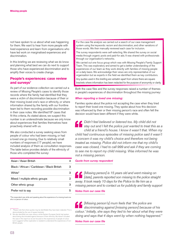not have spoken to us about what was happening for them. We want to hear from more people with lived experience and learn from organisations who have led work on marginalised experiences and discrimination.

In this briefing we are reviewing what we do know and planning what best we can do next to support those who have experienced discrimination and to amplify their voices to create change.

# People's experiences: case review and surveys<sup>7</sup>

As part of our evidence collection we carried out a review of Missing People's cases to identify those records where the family had identified that they were a victim of discrimination because of their or their missing loved one's race or ethnicity, or where information shared by the family with our frontline team led to them recording possible discrimination in their case notes. We identified  $18<sup>8</sup>$  cases that fit this criteria. As stated above, we suspect this number is an underestimate because we only know about experiences that families themselves have proactively shared with us.

We also conducted a survey seeking views from people of colour who had been missing, or had a loved one go missing. Due to relatively small numbers of responses (17 people), we have included analysis of them as consultation responses. The table below provides details of the ethnicity of those who completed the survey:

| Asian / Asian British                       | 4 |
|---------------------------------------------|---|
| Black / African / Caribbean / Black British | 3 |
| White*                                      | 3 |
| Mixed / multiple ethnic groups              | 2 |
| Other ethnic group                          | 3 |
| Prefer not to say                           | 5 |

\*The respondent was white and speaking about the experience of a missing loved one who is a person of colour.

For the case file analysis we carried out a search of our case management system using the keywords: racism and discrimination, and other variations of those words. We then manually reviewed each case for inclusion.

The survey respondents were self-selecting. We shared the survey on social media through organic posts and paid-for ads. It was shared with professionals through our organisation's networks.

We carried out one focus group which was with Missing People's Family Support Team. This was exploratory and aimed to get a better understanding of the experiences of our team as they work directly with families of missing people on a daily basis. We acknowledge their views are only representative of our organisation but as experts in the field we identified them as key contributors.

Any quotes used in this briefing are verbatim apart from where there are square brackets where information has been redacted for the purpose of anonymity or clarity.

Both the case files and the survey responses raised a number of themes in people's experiences of discrimination throughout the missing journey:

#### *When reporting a loved one missing:*

Families spoke about the police not accepting the case when they tried to report their loved one missing. They spoke about how this decision was influenced by their or their missing person's race and often felt the decision would have been different if they were white.

*Didn't feel believed or listened too. My child did not stay out and I felt the police just wanted to treat this as a child at a friend's house. I know it wasn't that. When my child had continuous episodes of missing police said it wasn't a concern it was my child's choice and therefore not being treated as missing. Police did not inform me that my child's case was closed, I had to call 999 and ask if they are coming to see me to report my child missing. Was informed he was not a missing person.*

#### *Quote from survey respondent*

*[Missing person] is 15 years old and went missing on [date], parents reported son missing to the police straight away. It took nearly 10 days for the Police to file him as a missing person and to contact us for publicity and family support* 

#### *Notes from our case file*

*[Missing person's] mum feels that 'the police are discriminating against [missing person] because of his colour.' Initially, she says they lied to her about what they were doing and says that 4 days went by when nothing happened."* 

*Notes from our case file*

Please note that where quotes may be identifiable they have been redacted. This is demonstrated by the use of square brackets.

<sup>8</sup> We also identified one case where a white Eastern European family had spoken about being discriminated against because of their ethnicity. We haven't included the case in this report as we are focused on the experiences of people of colour but it suggests further exploration is needed to understand the experiences of non-British people.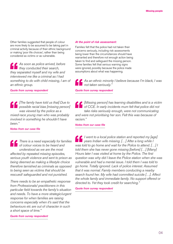Other families suggested that people of colour are more likely to be assumed to be taking part in criminal activity because of their ethnic background or making 'poor life choices', rather than being considered as victims or as vulnerable.

*As soon as police arrived, before they conducted their search, they separated myself and my wife and interviewed me like a criminal as I had something to do with child missing, I am of an ethnic group.*

*Quote from survey respondent*

*[The family have told us that] Due to possible racial bias [missing person] was viewed by the police as a mixed-race young man who was probably involved in something he shouldn't have been."* 

*Notes from our case file*

*There is a need especially for families of colour voices to be heard and understood as we are the most affected by repeated missing episodes, serious youth violence and sent to prison as being deemed as making a lifestyle choice therefore tarnished as criminals as opposed to being seen as victims that should be rescued/ safeguarded and not punished.* 

*There needs to be an empathetic response from Professionals/ practitioners in this particular field towards the family's situation and needs. To have a more strategic/urgent response for when families are raising concerns especially when it's said that the behaviours etc are out of character in such a short space of time."* 

*Quote from survey respondent*

#### *At the point of risk assessment:*

Families felt that the police had not taken their concerns seriously, including risk assessments being lower than the circumstances should have warranted and therefore not enough action being taken to find and safeguard the missing person. Some families felt that serious warning signs were ignored, possibly because the police made assumptions about what was happening.

*As an ethnic minority I believe because I'm black, I was not taken seriously."* 

*Quote from survey respondent*

*[Missing person] has learning disabilities and is a victim of CCE. In early incidents mum felt that police did not take risks seriously enough, were not communicating and were not prioritising her son. Felt this was because of racism."* 

*Notes from our case file*

*I went to a local police station and reported my [age] years Indian wife missing. […] After a long while I was told to go home and wait for the Police to attend. […] I told them she has never gone missing [before] […] [Many] Hours later I was visited at home by the Police. The first question was why did I leave the Police station when she was vulnerable and had a mental issue. I told them I was told to go home. Totally ignored. Lack of police interest. Assumed that it was normal. Family members conducting a nearby search found her. My wife had committed suicide […]. Affect the whole family and immediate family. No support offered or directed to. Yet they took credit for searching."* 

*Quote from survey respondent*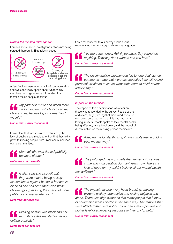# *During the missing investigation:*

Families spoke about investigative actions not being pursued thoroughly. Examples included:



A few families mentioned a lack of communication and two specifically spoke about white family members being given more information than themselves as people of colour.

*My partner is white and when there was an incident which involved my child and us, he was kept informed and I wasn't."* 

*Quote from survey respondent*

It was clear that families were frustrated by the lack of publicity and media attention that they felt is given to missing people from Black and minoritised ethnic communities.

*Mum felt she was denied publicity because of race."* 

*Notes from our case file*

*[caller] said she also felt that they were maybe being racially discriminated against because her son is black as she has seen that when white children going missing they get a lot more publicity and media attention."* 

*Note from our case file*

*Missing person was black and her mum thinks this resulted in her not getting publicity"* 

*Notes from our case file*

Some respondents to our survey spoke about experiencing discriminatory or dismissive language:

*Yea more than once. Ask if you black. Say cannot do anything. They say don't want to see you here" Quote from survey respondent*

*The discrimination experienced led to tone deaf stance, comments made that were disrespectful, insensitive and purposefully aimed to cause irreparable harm to child-parent relationship."* 

*Quote from survey respondent*

#### *Impact on the families:*

The impact of this discrimination was clear on those who responded to the survey. People spoke of distress, anger, feeling that their loved one's life was being devalued, and that this has had longlasting impacts. People spoke of their mental health being affected, family breakdown, and the impact of discrimination on the missing person themselves.

*Affected me for life, thinking if I was white they wouldn't treat me that way."* 

*Quote from survey respondent*

*The prolonged missing spells then turned into serious crime and incarceration dormant years now. There's a loss of hope for my child. I believe all our mental health has suffered."* 

*Quote from survey respondent*

*The impact has been very heart breaking, causing extreme anxiety, depression and feeling helpless and alone. There was high evidence that many people that I knew of colour also were affected in the same way. The families that were affected that were not of colour had a more positive and higher level of emergency response to their cry for help."*

*Quote from survey respondent*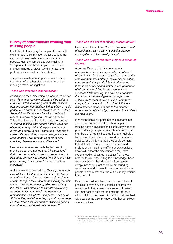# Survey of professionals working with missing people

In addition to the survey for people of colour with experience of discrimination we also sought the views of professionals who work with missing people. Again the sample size was small with 7 respondents but those people did share an interesting range of views. We did not ask the professionals to disclose their ethnicity.

The professionals who responded were varied in their views of whether discrimination impacted missing person investigations.

#### *Those who identified discrimination:*

Asked about racial discrimination, one police officer said, *"As one of very few minority police officers, I usually ended up dealing with BAME missing persons and/or their families. White officers would generally do computer checks and leave it at that. Supervising officers would mark up and falsify records to show enquiries were being made."* This officer then went on to illustrate the contrast *"Children missing from secure homes were not given the priority. Vulnerable people were not given the priority. When it came to a white family, senior officers and the press would get involved. More checks were done as were more door knocking. There was a stark difference."*

One person who worked with the families of missing persons remarked that *"I have noticed that when young black boys go missing it is not treated as seriously as when a [white] young male goes missing. It is seen as less urgent or less important".*

A charity worker observed that *"Many parents from Black/Black British communities have told us on a number of occasions that they would no longer attempt to report their children as missing, as they felt that they were not being taken seriously by the Police. This often led to parents developing a sense of distrust towards the network of professionals as a whole. One parent once said: 'What is the point of reporting my child as missing. For the Police he's just another Black kid getting in trouble, so they're just not interested.'"*

#### *Those who did not identify any discrimination:*

One police officer stated *"I have never seen racial discrimination play a part in a missing person investigation in 12 years of policing".*

#### *Those who suggested there may be a range of factors:*

A police officer said *"I think that there is unconscious bias in all organisations but overt discrimination is very rare. I also feel that minority ethnic communities often perceive discrimination, sometimes that is justified, but at other times there is no actual discrimination, just a perception of discrimination."* And in response to a later question: *"Unfortunately, the police do not have the resources to investigate missing persons sufficiently to meet the expectations of families irrespective of ethnicity. I do not think this is a discrimination issue, it is due to the massive reductions in police budgets as a result of austerity over ten years."*

In relation to this last point, national research has shown that police budget cuts have impacted missing person investigations, particularly in recent years.9 Missing People regularly hears from family members of all ethnicities that they are frustrated by the investigation into their loved one's missing episode, and think that the police could do more to find their loved one. However, families and professionals, including staff in our own services, have told us that the discrimination they have experienced or observed is distinct from these broader frustrations. Failing to acknowledge those experiences and their difference from general complaints about practice risks compounding experiences of discrimination and further silencing people in circumstances where it is already difficult to speak out.

Due to the small number of respondents it is not possible to draw any finite conclusions from the responses to the professionals survey. However it is important to note that the majority of those who did fill out the survey did identify that they had witnessed some discrimination, whether conscious or unconscious.

<sup>9</sup> M. Greenhalgh & K. Shalev Greene, 'Impact of Police Cuts on Missing Person Investigations', University of Portsmouth, Centre for the Study of Missing Persons, July 2021: [https://pure.port.ac.uk/ws/portalfiles/portal/28691081/Final\\_version.](https://pure.port.ac.uk/ws/portalfiles/portal/28691081/Final_version.pdf) [pdf](https://pure.port.ac.uk/ws/portalfiles/portal/28691081/Final_version.pdf)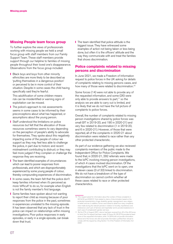# Missing People team focus group

To further explore the views of professionals working with missing people we held a small focus group with staff members from our Family Support Team. These staff members provide support through our helpline to families of missing people throughout their loved one's disappearance. Observations from the focus group included:

**■** Black boys and boys from other minority ethnicities are more likely to be described as 'putting themselves in a dangerous position' or perceived to be in more control of their situation. Despite in some cases the child having specifically said they're fearful.

This adultification of some children means risk can be misidentified or warning signs of exploitation can be missed.

- **Ⅰ** The police's approach to risk assessments seems in some cases to be informed by their preconceptions about what has happened, or assumptions about the young person.
- **■** Staff understood the limitations on police resources but felt that the allocation of those resources sometimes seems to vary depending on the perception of people's ability to advocate for themselves. They spoke about this negatively impacting some of the people of colour we support as they may feel less able to challenge the police, in part due to historic and recent mistreatment contributing to distrust; or they may feel more judged if they complain or challenge the response they are receiving.
- **Ⅰ** The team identified examples of circumstances which can lead to poorer responses from professionals, and which are disproportionately experienced by some young people of colour, thereby compounding experiences of discrimination.
- In some cases, the team felt that the police don't keep families informed when it's perceived as more 'difficult' to do so, for example when English is not the family member's first language.
- **■** Some families have spoken about not wanting to report their child as missing because of poor responses from the police in the past, sometimes in experiences unrelated to the missing episode. It has been observed that any lack of trust in the police can impact on relationships within missing investigations. Poor police responses in early episodes, or early in a single episode, can break down that trust.

■ The team identified that police attitude is the biggest issue. They have witnessed some examples of action not being taken or less being done, but often it is the officers' attitude and the way they communicate with and treat the families that shows discrimination.

# Police complaints related to missing persons and discrimination

In June 2021, we made a Freedom of Information request to police forces in the UK asking for details of complaints relating to missing persons cases, and how many of those were related to discrimination.<sup>10</sup>

Some forces (14) were not able to provide any of the requested information, and some (26) were only able to provide answers to part, $11$  so the analysis we are able to carry out is limited, and it is likely that we do not have the full picture of complaints to police forces.

Overall, the number of complaints related to missing person investigations shared by police forces was small (97 in 2019-20, and 190 in 2020-21) and very few related to discrimination (1 in 2019-20, and 6 in 2020-21). However, of those that were reported, all of the complaints in 2020-21 about discrimination were related to race rather than any other protected characteristic.

As part of our evidence gathering we also reviewed complaints members of the public made to the Independent Office for Police Complaints. We found that, in 2020-21, 292 referrals were made to the IoPC involving missing person investigations, of which 4 cases involved discrimination. Of the investigations that the IoPC went on to open, one in eleven cases (3 of 33) linked to discrimination. We do not have a breakdown of the type of discrimination so cannot confirm whether all these cases related to race or other protected characteristics.

<sup>10</sup> The request asked for information about the number of these complaints in 2019/20 and 2020/21 that related to claims of discrimination based on the protected characteristics of age; disability; gender reassignment; race; religion or belief; and sex. In addition, forces were asked to detail how many complaints were made during the relevant periods in relation to 'Incivility, impoliteness and intolerance', and 'Lack of fairness and impartiality' and to provide breakdowns in each case of complainants' gender and race.

<sup>11</sup> By the 27th of August, 2021, returns had been received from 40 of the 46 forces to which the FoI request had been made. Of these 40, 26 (57%) provided at least some of the requested information, while 14 (30%) did not provide information. Almost all of the forces who did not provide information justified their refusal to comply with the request by citing Section 12 of the Freedom of Information Act 2000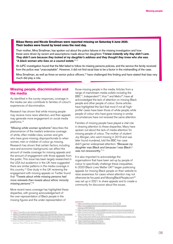#### Bibaa Henry and Nicole Smallman were reported missing on Saturday 6 June 2020. Their bodies were found by loved ones the next day.

Their mother, Mina Smallman, has spoken out about the police failures in the missing investigation and how these were driven by racism and assumptions made about her daughters *"I knew instantly why they didn't care. They didn't care because they looked at my daughter's address and they thought they knew who she was. "A black woman who lives on a council estate."* <sup>12</sup>

An IoPC investigation found that the Met failed to follow its missing persons policies, and the service the family received from the police was "unacceptable". However, it did not find racial bias to be a factor in the mishandling of the case.

Mina Smallman, as well as three ex-senior police officers,<sup>13</sup> have challenged this finding and have stated that bias very much did play a role.

# Missing people, discrimination and the media

As identified in the survey responses, coverage in the media can also contribute to families of colour's experiences of discrimination.

Research has shown that white missing people may receive more news attention, and their appeals may generate more engagement on social media platforms.14

*"Missing white woman syndrome"* describes the phenomenon of the media's extensive coverage of white, often middle-class, women and girls who have gone missing; disproportionate to when women, men or children of colour go missing. Research has shown that certain factors, including race and economic background, can affect the amount of media coverage for missing appeals and the amount of engagement with those appeals from the public. This issue has been largely researched in the USA but academics in the UK have suggested there are similar patterns in the media coverage in this country.15 One study in the UK reviewing the engagement with missing appeals on Twitter found that *"Tweets about white missing persons had more retweets than tweets about ethnic minority missing persons".16*

More recent news coverage has highlighted these disparities, with growing acknowledgement of the over-representation of Black people in the missing figures and the under representation of

- 12 <https://www.bbc.co.uk/news/uk-england-london-57679755>
- 13 [Mother of murdered sisters backed by ex-police chiefs over bias claim | Police | The Guardian](https://www.theguardian.com/uk-news/2021/oct/26/mother-of-murdered-sisters-backed-by-ex-police-chiefs-over-bias-claim)
- 14 <https://blog.geographydirections.com/2020/07/09/missing-black-lives/> <https://blog.geographydirections.com/2020/07/09/missing-black-lives/>
- 16 Exploring public engagement with missing person appeals on Twitter. Reka Solymosi, Oana Petcu & Jack Wilkinson

those missing people in the media. Articles from a range of mainstream media outlets including the BBC<sup>17</sup>, Independent<sup>18</sup>, Vice<sup>19</sup> and Metro<sup>20</sup>, have all acknowledged the lack of attention on missing Black people and other people of colour. Some articles have highlighted the fact that most if not all 'highprofile' cases have been those of white people, while people of colour who have gone missing in similar circumstances have not received the same attention.

Families of missing people have played a vital role in drawing attention to these disparities. Many have spoken out about the lack of media attention for missing people of colour. The mother of student Joy Morgan, who went missing in 2019 and was later found murdered, told the BBC her case didn't garner widespread attention: *"Because my daughter was Black and because I was Black I*  was not newsworthy."<sup>21</sup>

It is also important to acknowledge the organisations that have been set-up by people of colour to specifically challenge these inequalities. In 2020 Black Lives Matter UK<sup>22</sup> began publicising appeals for missing Black people on their website to raise awareness for cases where attention may not otherwise be focused; and MissingBlackPeople.com<sup>23</sup> was set up in 2021 to share appeals and to create a community for discussion about the issues.

- 17 <https://www.bbc.co.uk/news/uk-england-london-57813139>
- 18 [https://www.independent.co.uk/news/uk/home-news/black-people](https://www.independent.co.uk/news/uk/home-news/black-people-missing-b1827530.html)[missing-b1827530.html](https://www.independent.co.uk/news/uk/home-news/black-people-missing-b1827530.html)
- 19 <https://www.vice.com/en/article/g5g8wb/mee-kuen-chong-missing-people-uk>
- 20 [https://metro.co.uk/2021/09/24/black-people-are-turning-to-social-media-to](https://metro.co.uk/2021/09/24/black-people-are-turning-to-social-media-to-find-missing-loved-ones-15180337/)[find-missing-loved-ones-15180337/](https://metro.co.uk/2021/09/24/black-people-are-turning-to-social-media-to-find-missing-loved-ones-15180337/)
- 21 [https://www.voice-online.co.uk/news/uk-news/2019/09/09/joy-morgans-mum](https://www.voice-online.co.uk/news/uk-news/2019/09/09/joy-morgans-mum-no-one-cared-because-my-daughter-is-black/)[no-one-cared-because-my-daughter-is-black/](https://www.voice-online.co.uk/news/uk-news/2019/09/09/joy-morgans-mum-no-one-cared-because-my-daughter-is-black/)
- 22 <https://blacklivesmatter.uk/missing> 23 <https://www.missingblackpeople.com/>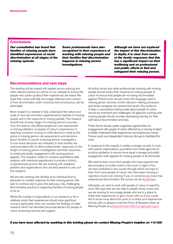# **Conclusions**

*Our consultation has found that families of missing people have identified experiences of racial discrimination at all stages of the missing episode.*

*Some professionals have also recognised in their experience of working with missing people and their families that discrimination happens in missing person investigations.*

*Although we have not explored the impact of this discrimination in depth, it is clear from some of the family responses that this has a significant impact on their wellbeing and on professional and public efforts to find and safeguard their missing person.*

# Recommendations and next steps

This briefing will be shared with leaders across policing and other relevant sectors, as well as on our website, to ensure the people who spoke up about their experiences are heard. We hope their voices will help encourage reflection and a review of how discrimination, both conscious and unconscious, can be eliminated.

More research is needed to fully understand the nature and scale of race discrimination experienced by families of missing people and in the response to missing people. This research should look at every stage of a missing person's journey – from the reasons why Black people are over-represented in missing statistics, to people of colour's experiences of reporting someone missing, to initial decisions made by the police in missing person risk assessments and decisions about whether to launch a missing person investigation, to how those decisions are reviewed, to how families are communicated with, to other professionals' responses, to the length of missing person investigations and their outcomes, to media and public engagement with missing person appeals. This research needs to combine quantitative data analysis, with individual experiences to provide a holistic, comprehensive picture. We are working with academic partners and organisations who are best placed to carry out this research.

We are also working with families at an individual level to advocate for a better response for their missing person. We plan to continue and to grow this advocacy role, challenging discriminatory practice or supporting families of missing people to do so.

Whilst the number of respondents to our research so far is relatively small, their experiences should raise significant concern, particularly when we consider the findings of wider research which has identified structural barriers for people of colour accessing services and support.

All police forces and other professionals working with missing people should review their response to missing people of colour to ensure that people are not being discriminated against. Police forces should review the language used in missing person records; monitor decision-making processes; and review assigned risk assessment levels. Any evidence of bias or assumptions being made about people of colour should be examined and challenged. All agencies working with missing people should consider developing training for their staff about discrimination and bias.

Police forces should create supportive opportunities for engagement with people of colour affected by a missing incident to better understand their experiences and explore any issues. Forces could use Independent Advisory Groups to facilitate this work.

In response to the inequity in media coverage we plan to work with partner organisations, journalists and media agencies to produce guidance to ensure more equal coverage and public engagement with appeals for missing people of all ethnicities.

We need to learn more from people who have experienced discrimination to further build on this work. In light of this we have published a new survey through which we hope to hear from more people of colour who have been missing or reported a loved one missing. If you or someone you know has experienced discrimination the survey can be [found here](https://www.missingpeople.org.uk/for-professionals/information-and-policy/policy/discrimination/experiences-of-discrimination)).

Ultimately, we want to work with people of colour to lead this work. We hope that we can help to amplify those voices and we are working to encourage people who are in a place to share their experiences to get in touch with us. If you would like to know more about this work or to share your experiences directly with us, please e-mail the Policy & Research team at Missing People at [policyandresearch@missingpeople.org.uk](mailto:policyandresearch@missingpeople.org.uk).

#### *If you have been affected by anything in this briefing please do contact Missing People's helpline on 116 000*